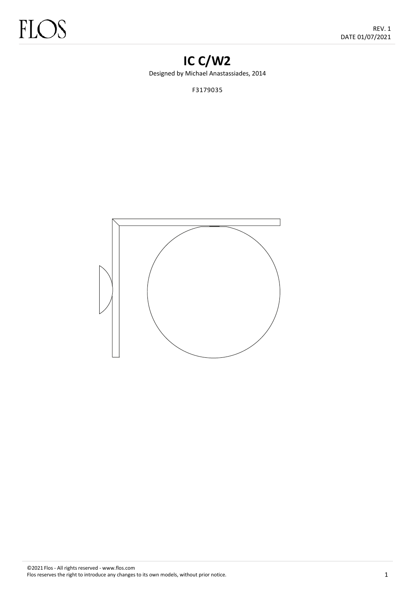# **IC C/W2**

Designed by Michael Anastassiades, 2014

F3179035

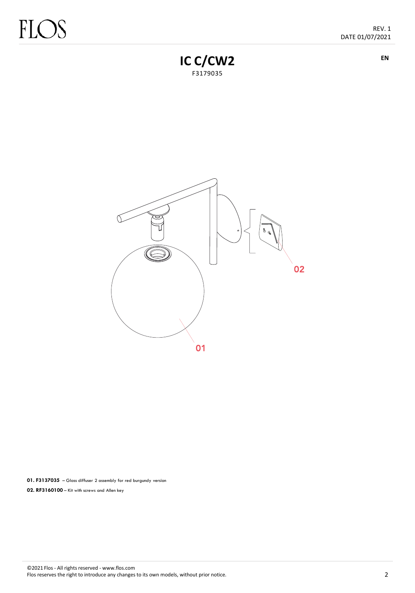# FLC L.

**EN**



ਦ  $02$ 01

**01. F3137035** – Glass diffuser 2 assembly for red burgundy version **02. RF3160100** – Kit with screws and Allen key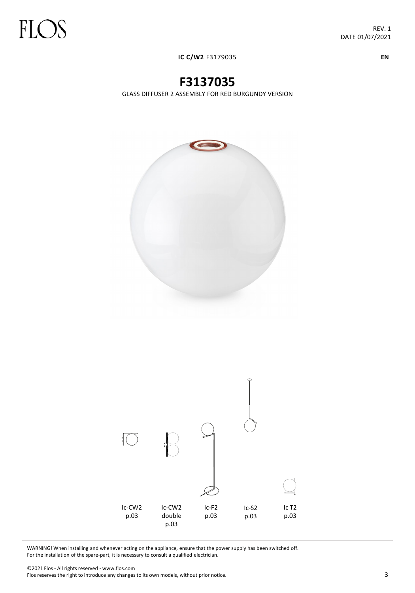**IC C/W2** F3179035

**F3137035**

GLASS DIFFUSER 2 ASSEMBLY FOR RED BURGUNDY VERSION



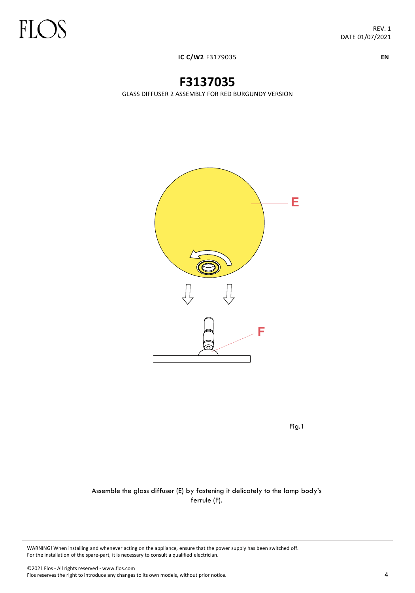**IC C/W2** F3179035

# **F3137035**

GLASS DIFFUSER 2 ASSEMBLY FOR RED BURGUNDY VERSION



Fig.1

#### Assemble the glass diffuser (E) by fastening it delicately to the lamp body's ferrule (F).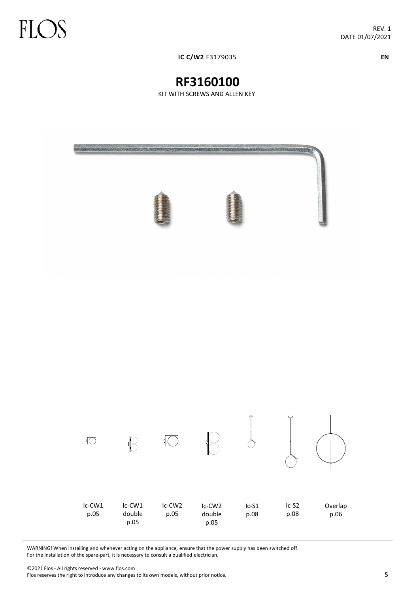**IC C/W2** F3179035

**EN**

## **RF3160100**

KIT WITH SCREWS AND ALLEN KEY





WARNING! When installing and whenever acting on the appliance, ensure that the power supply has been switched off. For the installation of the spare-part, it is necessary to consult a qualified electrician.

©2021 Flos - All rights reserved - www.flos.com Flos reserves the right to introduce any changes to its own models, without prior notice.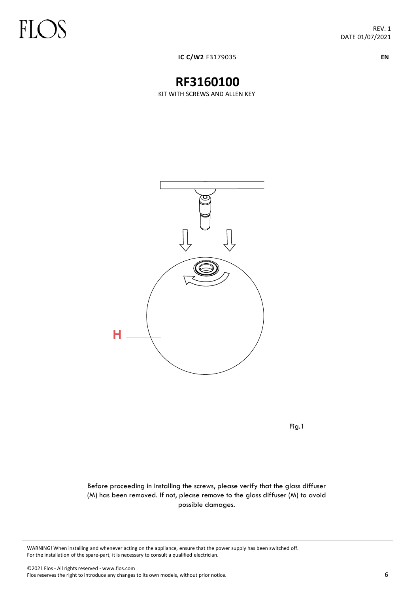**IC C/W2** F3179035

# **RF3160100**

KIT WITH SCREWS AND ALLEN KEY



Fig.1

Before proceeding in installing the screws, please verify that the glass diffuser (M) has been removed. If not, please remove to the glass diffuser (M) to avoid possible damages.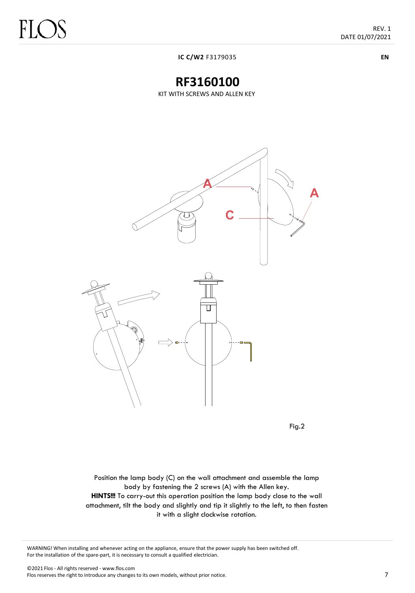REV. 1 DATE 01/07/2021

**EN**

**IC C/W2** F3179035

### **RF3160100**

KIT WITH SCREWS AND ALLEN KEY



Fig.2

Position the lamp body (C) on the wall attachment and assemble the lamp body by fastening the 2 screws (A) with the Allen key. **HINTS!!!** To carry-out this operation position the lamp body close to the wall attachment, tilt the body and slightly and tip it slightly to the left, to then fasten it with a slight clockwise rotation.